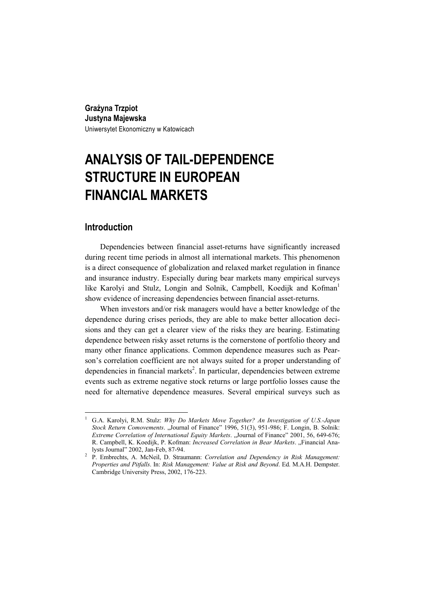**Grażyna Trzpiot Justyna Majewska**  Uniwersytet Ekonomiczny w Katowicach

# **ANALYSIS OF TAIL-DEPENDENCE STRUCTURE IN EUROPEAN FINANCIAL MARKETS**

# **Introduction**

 $\overline{a}$ 

Dependencies between financial asset-returns have significantly increased during recent time periods in almost all international markets. This phenomenon is a direct consequence of globalization and relaxed market regulation in finance and insurance industry. Especially during bear markets many empirical surveys like Karolyi and Stulz, Longin and Solnik, Campbell, Koediik and Kofman<sup>1</sup> show evidence of increasing dependencies between financial asset-returns.

When investors and/or risk managers would have a better knowledge of the dependence during crises periods, they are able to make better allocation decisions and they can get a clearer view of the risks they are bearing. Estimating dependence between risky asset returns is the cornerstone of portfolio theory and many other finance applications. Common dependence measures such as Pearson's correlation coefficient are not always suited for a proper understanding of dependencies in financial markets<sup>2</sup>. In particular, dependencies between extreme events such as extreme negative stock returns or large portfolio losses cause the need for alternative dependence measures. Several empirical surveys such as

<sup>1</sup> G.A. Karolyi, R.M. Stulz: *Why Do Markets Move Together? An Investigation of U.S.-Japan Stock Return Comovements*. "Journal of Finance" 1996, 51(3), 951-986; F. Longin, B. Solnik: *Extreme Correlation of International Equity Markets.* "Journal of Finance" 2001, 56, 649-676; R. Campbell, K. Koedijk, P. Kofman: *Increased Correlation in Bear Markets*. "Financial Analysts Journal" 2002, Jan-Feb, 87-94. 2

P. Embrechts, A. McNeil, D. Straumann: *Correlation and Dependency in Risk Management: Properties and Pitfalls*. In: *Risk Management: Value at Risk and Beyond*. Ed. M.A.H. Dempster. Cambridge University Press, 2002, 176-223.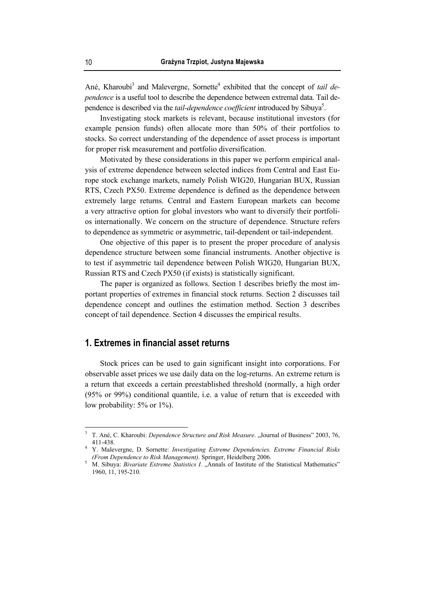Ané, Kharoubi<sup>3</sup> and Malevergne, Sornette<sup>4</sup> exhibited that the concept of *tail dependence* is a useful tool to describe the dependence between extremal data. Tail dependence is described via the *tail-dependence coefficient* introduced by Sibuya<sup>5</sup>.

Investigating stock markets is relevant, because institutional investors (for example pension funds) often allocate more than 50% of their portfolios to stocks. So correct understanding of the dependence of asset process is important for proper risk measurement and portfolio diversification.

Motivated by these considerations in this paper we perform empirical analysis of extreme dependence between selected indices from Central and East Europe stock exchange markets, namely Polish WIG20, Hungarian BUX, Russian RTS, Czech PX50. Extreme dependence is defined as the dependence between extremely large returns. Central and Eastern European markets can become a very attractive option for global investors who want to diversify their portfolios internationally. We concern on the structure of dependence. Structure refers to dependence as symmetric or asymmetric, tail-dependent or tail-independent.

One objective of this paper is to present the proper procedure of analysis dependence structure between some financial instruments. Another objective is to test if asymmetric tail dependence between Polish WIG20, Hungarian BUX, Russian RTS and Czech PX50 (if exists) is statistically significant.

The paper is organized as follows. Section 1 describes briefly the most important properties of extremes in financial stock returns. Section 2 discusses tail dependence concept and outlines the estimation method. Section 3 describes concept of tail dependence. Section 4 discusses the empirical results.

# **1. Extremes in financial asset returns**

Stock prices can be used to gain significant insight into corporations. For observable asset prices we use daily data on the log-returns. An extreme return is a return that exceeds a certain preestablished threshold (normally, a high order (95% or 99%) conditional quantile, i.e. a value of return that is exceeded with low probability: 5% or 1%).

<sup>3</sup> T. Ané, C. Kharoubi: *Dependence Structure and Risk Measure*. "Journal of Business" 2003, 76, 411-438. 4 Y. Malevergne, D. Sornette: *Investigating Extreme Dependencies. Extreme Financial Risks* 

*<sup>(</sup>From Dependence to Risk Management)*. Springer, Heidelberg 2006.

<sup>&</sup>lt;sup>5</sup> M. Sibuya: *Bivariate Extreme Statistics I.* "Annals of Institute of the Statistical Mathematics" 1960, 11, 195-210.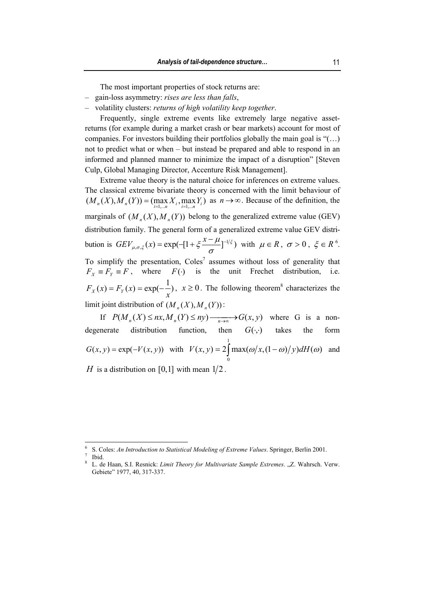The most important properties of stock returns are:

- ‒ gain-loss asymmetry: *rises are less than falls*,
- ‒ volatility clusters: *returns of high volatility keep together*.

Frequently, single extreme events like extremely large negative assetreturns (for example during a market crash or bear markets) account for most of companies. For investors building their portfolios globally the main goal is "(…) not to predict what or when – but instead be prepared and able to respond in an informed and planned manner to minimize the impact of a disruption" [Steven Culp, Global Managing Director, Accenture Risk Management].

Extreme value theory is the natural choice for inferences on extreme values. The classical extreme bivariate theory is concerned with the limit behaviour of  $(M_n(X), M_n(Y)) = (\max_{i=1,...n} X_i, \max_{i=1,...n} Y_i)$  as  $n \to \infty$ . Because of the definition, the marginals of  $(M_*(X), M_*(Y))$  belong to the generalized extreme value (GEV) distribution family. The general form of a generalized extreme value GEV distribution is  $GEV_{\mu,\sigma,\xi}(x) = \exp(-[1 + \xi \frac{x - \mu}{s}]^{-1/\xi})$  $GEV_{\mu,\sigma,\xi}(x) = \exp(-[1+\xi\frac{x-\mu}{\sigma}]^{-1/\xi})$  with  $\mu \in R$ ,  $\sigma > 0$ ,  $\xi \in R^6$ . To simplify the presentation,  $Coles^7$  assumes without loss of generality that  $F_X \equiv F_Y \equiv F$ , where  $F(\cdot)$  is the unit Frechet distribution, i.e.  $f(x) = F_y(x) = \exp(-\frac{1}{x})$  $F_X(x) = F_Y(x) = \exp(-\frac{1}{x})$ ,  $x \ge 0$ . The following theorem<sup>8</sup> characterizes the limit joint distribution of  $(M_n(X), M_n(Y))$ :

If  $P(M_n(X) \le nx, M_n(Y) \le ny) \xrightarrow[n \to \infty]{} G(x, y)$  where G is a nondegenerate distribution function, then  $G(\cdot, \cdot)$  takes the form  $G(x, y) = \exp(-V(x, y))$  with  $V(x, y) = 2 \tan(\omega/x, (1 - \omega)/y) dH(\omega)$ 1  $V(x, y) = 2 \int_0^{\pi} \max(\omega/x, (1-\omega)/y) dH(\omega)$  and *H* is a distribution on [0,1] with mean  $1/2$ .

<sup>6</sup> S. Coles: *An Introduction to Statistical Modeling of Extreme Values*. Springer, Berlin 2001. 7

Ibid.

<sup>8</sup> L. de Haan, S.I. Resnick: *Limit Theory for Multivariate Sample Extremes.* "Z. Wahrsch. Verw. Gebiete" 1977, 40, 317-337.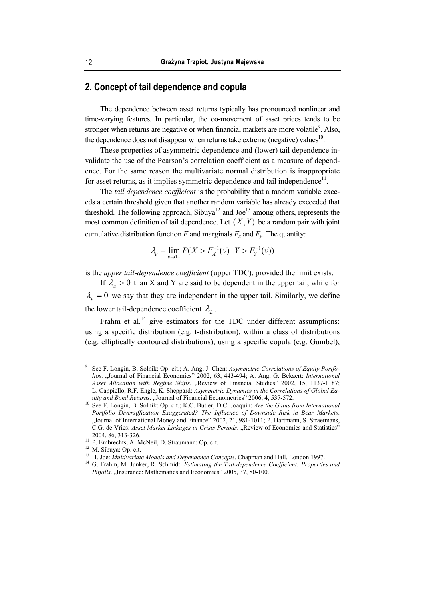# **2. Concept of tail dependence and copula**

The dependence between asset returns typically has pronounced nonlinear and time-varying features. In particular, the co-movement of asset prices tends to be stronger when returns are negative or when financial markets are more volatile $\degree$ . Also, the dependence does not disappear when returns take extreme (negative) values<sup>10</sup>.

These properties of asymmetric dependence and (lower) tail dependence invalidate the use of the Pearson's correlation coefficient as a measure of dependence. For the same reason the multivariate normal distribution is inappropriate for asset returns, as it implies symmetric dependence and tail independence $1$ .

The *tail dependence coefficient* is the probability that a random variable exceeds a certain threshold given that another random variable has already exceeded that threshold. The following approach, Sibuya<sup>12</sup> and Joe<sup>13</sup> among others, represents the most common definition of tail dependence. Let  $(X, Y)$  be a random pair with joint cumulative distribution function *F* and marginals  $F_r$  and  $F_v$ . The quantity:

$$
\lambda_u = \lim_{\nu \to 1^-} P(X > F_X^{-1}(\nu) | Y > F_Y^{-1}(\nu))
$$

is the *upper tail-dependence coefficient* (upper TDC), provided the limit exists.

If  $\lambda_u > 0$  than X and Y are said to be dependent in the upper tail, while for  $\lambda_{\mu} = 0$  we say that they are independent in the upper tail. Similarly, we define the lower tail-dependence coefficient  $\lambda_L$ .

Frahm et al.<sup>14</sup> give estimators for the TDC under different assumptions: using a specific distribution (e.g. t-distribution), within a class of distributions (e.g. elliptically contoured distributions), using a specific copula (e.g. Gumbel),

<sup>9</sup> See F. Longin, B. Solnik: Op. cit.; A. Ang, J. Chen: *Asymmetric Correlations of Equity Portfolios*. "Journal of Financial Economics" 2002, 63, 443-494; A. Ang, G. Bekaert: *International*  Asset Allocation with Regime Shifts. "Review of Financial Studies" 2002, 15, 1137-1187; L. Cappiello, R.F. Engle, K. Sheppard: *Asymmetric Dynamics in the Correlations of Global Eq-*

*uity and Bond Returns.* "Journal of Financial Econometrics" 2006, 4, 537-572.<br><sup>10</sup> See F. Longin, B. Solnik: Op. cit.; K.C. Butler, D.C. Joaquin: *Are the Gains from International Portfolio Diversiffication Exaggerated? The Influence of Downside Risk in Bear Markets*. "Journal of International Money and Finance" 2002, 21, 981-1011; P. Hartmann, S. Straetmans, C.G. de Vries: Asset Market Linkages in Crisis Periods. "Review of Economics and Statistics" 2004, 86, 313-326. 11 P. Embrechts, A. McNeil, D. Straumann: Op. cit.

<sup>&</sup>lt;sup>12</sup> M. Sibuya: Op. cit.<br><sup>13</sup> H. Joe: *Multivariate Models and Dependence Concepts*. Chapman and Hall, London 1997.

<sup>&</sup>lt;sup>14</sup> G. Frahm, M. Junker, R. Schmidt: *Estimating the Tail-dependence Coefficient: Properties and* Pitfalls. "Insurance: Mathematics and Economics" 2005, 37, 80-100.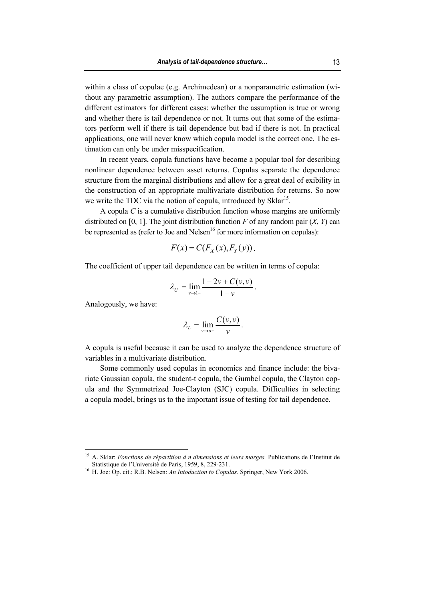within a class of copulae (e.g. Archimedean) or a nonparametric estimation (without any parametric assumption). The authors compare the performance of the different estimators for different cases: whether the assumption is true or wrong and whether there is tail dependence or not. It turns out that some of the estimators perform well if there is tail dependence but bad if there is not. In practical applications, one will never know which copula model is the correct one. The estimation can only be under misspecification.

In recent years, copula functions have become a popular tool for describing nonlinear dependence between asset returns. Copulas separate the dependence structure from the marginal distributions and allow for a great deal of exibility in the construction of an appropriate multivariate distribution for returns. So now we write the TDC via the notion of copula, introduced by Sklar<sup>15</sup>.

A copula *C* is a cumulative distribution function whose margins are uniformly distributed on [0, 1]. The joint distribution function  $F$  of any random pair  $(X, Y)$  can be represented as (refer to Joe and Nelsen $16$  for more information on copulas):

$$
F(x) = C(F_X(x), F_Y(y)).
$$

The coefficient of upper tail dependence can be written in terms of copula:

$$
\lambda_U = \lim_{\nu \to 1^-} \frac{1 - 2\nu + C(\nu, \nu)}{1 - \nu}.
$$

Analogously, we have:

 $\overline{a}$ 

$$
\lambda_L = \lim_{\nu \to o^+} \frac{C(\nu, \nu)}{\nu}.
$$

A copula is useful because it can be used to analyze the dependence structure of variables in a multivariate distribution.

Some commonly used copulas in economics and finance include: the bivariate Gaussian copula, the student-t copula, the Gumbel copula, the Clayton copula and the Symmetrized Joe-Clayton (SJC) copula. Difficulties in selecting a copula model, brings us to the important issue of testing for tail dependence.

<sup>&</sup>lt;sup>15</sup> A. Sklar: *Fonctions de répartition à n dimensions et leurs marges*. Publications de l'Institut de Statistique de l'Université de Paris, 1959, 8, 229-231. 16 H. Joe: Op. cit.; R.B. Nelsen: *An Intoduction to Copulas*. Springer, New York 2006.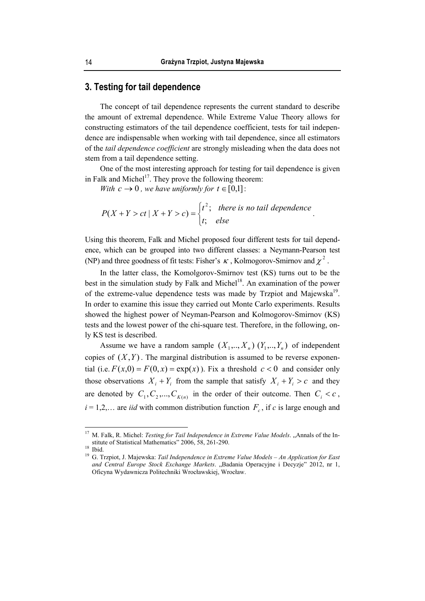### **3. Testing for tail dependence**

The concept of tail dependence represents the current standard to describe the amount of extremal dependence. While Extreme Value Theory allows for constructing estimators of the tail dependence coefficient, tests for tail independence are indispensable when working with tail dependence, since all estimators of the *tail dependence coefficient* are strongly misleading when the data does not stem from a tail dependence setting.

One of the most interesting approach for testing for tail dependence is given in Falk and Michel<sup>17</sup>. They prove the following theorem:

*With*  $c \rightarrow 0$ , we have uniformly for  $t \in [0,1]$ :

$$
P(X+Y > ct \mid X+Y > c) = \begin{cases} t^2; & \text{there is no tail dependence} \\ t; & \text{else} \end{cases}.
$$

Using this theorem, Falk and Michel proposed four different tests for tail dependence, which can be grouped into two different classes: a Neymann-Pearson test (NP) and three goodness of fit tests: Fisher's  $\kappa$ , Kolmogorov-Smirnov and  $\chi^2$ .

In the latter class, the Komolgorov-Smirnov test (KS) turns out to be the best in the simulation study by Falk and Michel<sup>18</sup>. An examination of the power of the extreme-value dependence tests was made by Trzpiot and Majewska<sup>19</sup>. In order to examine this issue they carried out Monte Carlo experiments. Results showed the highest power of Neyman-Pearson and Kolmogorov-Smirnov (KS) tests and the lowest power of the chi-square test. Therefore, in the following, only KS test is described.

Assume we have a random sample  $(X_1, ..., X_n)$   $(Y_1, ..., Y_n)$  of independent copies of  $(X, Y)$ . The marginal distribution is assumed to be reverse exponential (i.e.  $F(x,0) = F(0, x) = \exp(x)$ ). Fix a threshold  $c < 0$  and consider only those observations  $X_i + Y_j$  from the sample that satisfy  $X_i + Y_j > c$  and they are denoted by  $C_1, C_2, ..., C_{K(n)}$  in the order of their outcome. Then  $C_i < c$ ,  $i = 1, 2, \ldots$  are *iid* with common distribution function  $F_c$ , if *c* is large enough and

<sup>&</sup>lt;sup>17</sup> M. Falk, R. Michel: *Testing for Tail Independence in Extreme Value Models.* "Annals of the Institute of Statistical Mathematics" 2006, 58, 261-290.<br><sup>18</sup> Ibid.

<sup>19</sup> G. Trzpiot, J. Majewska: *Tail Independence in Extreme Value Models – An Application for East*  and Central Europe Stock Exchange Markets. "Badania Operacyjne i Decyzje" 2012, nr 1, Oficyna Wydawnicza Politechniki Wrocławskiej, Wrocław.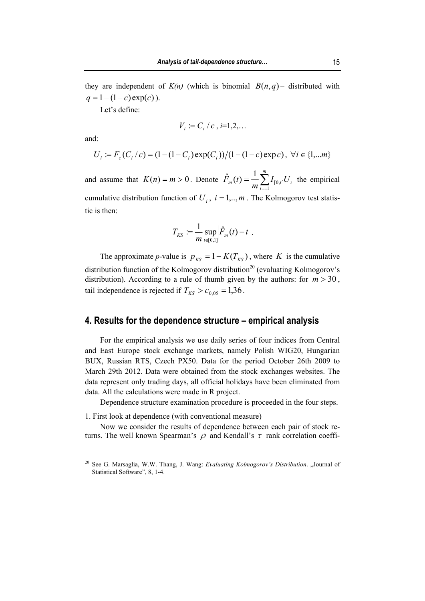they are independent of  $K(n)$  (which is binomial  $B(n,q)$  – distributed with  $q = 1 - (1 - c) \exp(c)$ .

Let's define:

$$
V_i := C_i / c, i=1,2,\ldots
$$

and:

 $\overline{a}$ 

$$
U_i := F_c(C_i/c) = (1 - (1 - C_i) \exp(C_i))/(1 - (1 - c) \exp(c)), \ \forall i \in \{1, \dots m\}
$$

and assume that  $K(n) = m > 0$ . Denote  $F_m(t) = \frac{1}{m} \sum I_{[0,t]} U_i$ *m i*  $\hat{F}_m(t) = \frac{1}{m} \sum_{i=1}^{n} I_{[0,t]} U_i$ 1  $\hat{F}_m(t) = \frac{1}{N} \sum_{i=1}^{m} I_{[0,t]} U_i$  the empirical cumulative distribution function of  $U_i$ ,  $i = 1, \dots, m$ . The Kolmogorov test statistic is then:

$$
T_{KS} := \frac{1}{m} \sup_{t \in [0,1]} \left| \hat{F}_m(t) - t \right|.
$$

The approximate *p*-value is  $p_{KS} = 1 - K(T_{KS})$ , where *K* is the cumulative distribution function of the Kolmogorov distribution<sup>20</sup> (evaluating Kolmogorov's distribution). According to a rule of thumb given by the authors: for  $m > 30$ , tail independence is rejected if  $T_{KS} > c_{0.05} = 1,36$ .

## **4. Results for the dependence structure – empirical analysis**

For the empirical analysis we use daily series of four indices from Central and East Europe stock exchange markets, namely Polish WIG20, Hungarian BUX, Russian RTS, Czech PX50. Data for the period October 26th 2009 to March 29th 2012. Data were obtained from the stock exchanges websites. The data represent only trading days, all official holidays have been eliminated from data. All the calculations were made in R project.

Dependence structure examination procedure is proceeded in the four steps.

1. First look at dependence (with conventional measure)

Now we consider the results of dependence between each pair of stock returns. The well known Spearman's  $\rho$  and Kendall's  $\tau$  rank correlation coeffi-

<sup>&</sup>lt;sup>20</sup> See G. Marsaglia, W.W. Thang, J. Wang: *Evaluating Kolmogorov's Distribution*. "Journal of Statistical Software", 8, 1-4.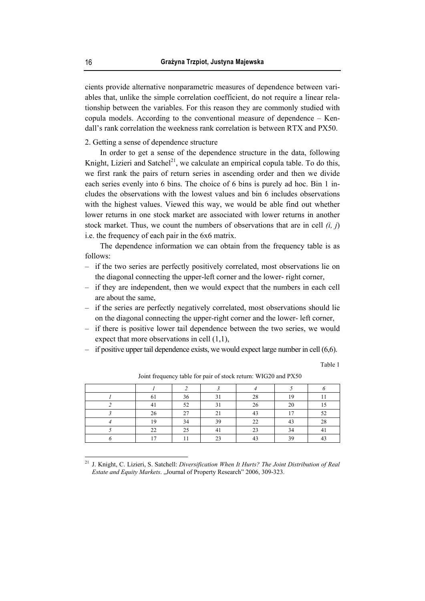cients provide alternative nonparametric measures of dependence between variables that, unlike the simple correlation coefficient, do not require a linear relationship between the variables. For this reason they are commonly studied with copula models. According to the conventional measure of dependence – Kendall's rank correlation the weekness rank correlation is between RTX and PX50.

#### 2. Getting a sense of dependence structure

In order to get a sense of the dependence structure in the data, following Knight, Lizieri and Satchel<sup>21</sup>, we calculate an empirical copula table. To do this, we first rank the pairs of return series in ascending order and then we divide each series evenly into 6 bins. The choice of 6 bins is purely ad hoc. Bin 1 includes the observations with the lowest values and bin 6 includes observations with the highest values. Viewed this way, we would be able find out whether lower returns in one stock market are associated with lower returns in another stock market. Thus, we count the numbers of observations that are in cell *(i, j*) i.e. the frequency of each pair in the 6x6 matrix.

The dependence information we can obtain from the frequency table is as follows:

- ‒ if the two series are perfectly positively correlated, most observations lie on the diagonal connecting the upper-left corner and the lower- right corner,
- ‒ if they are independent, then we would expect that the numbers in each cell are about the same,
- ‒ if the series are perfectly negatively correlated, most observations should lie on the diagonal connecting the upper-right corner and the lower- left corner,
- ‒ if there is positive lower tail dependence between the two series, we would expect that more observations in cell (1,1),
- ‒ if positive upper tail dependence exists, we would expect large number in cell (6,6).

Table 1

|       | 36 | 21     | 28     | 10 |    |
|-------|----|--------|--------|----|----|
|       | 52 | $\sim$ | 26     | 20 |    |
| 26    | 27 |        | $\sim$ | 17 |    |
| 10    | 34 | 39     | 22     | 12 | 28 |
| າາ    | 25 |        | າາ     | 34 |    |
| $1 -$ |    | $\sim$ |        | 30 |    |

Joint frequency table for pair of stock return: WIG20 and PX50

<sup>21</sup> J. Knight, C. Lizieri, S. Satchell: *Diversification When It Hurts? The Joint Distribution of Real Estate and Equity Markets. "Journal of Property Research" 2006, 309-323.*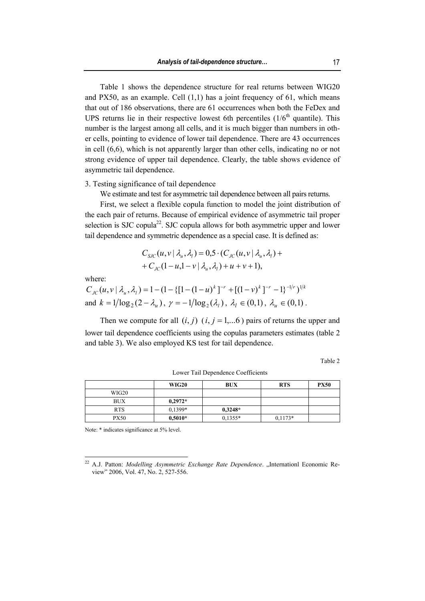Table 1 shows the dependence structure for real returns between WIG20 and PX50, as an example. Cell  $(1,1)$  has a joint frequency of 61, which means that out of 186 observations, there are 61 occurrences when both the FeDex and UPS returns lie in their respective lowest 6th percentiles  $(1/6<sup>th</sup>$  quantile). This number is the largest among all cells, and it is much bigger than numbers in other cells, pointing to evidence of lower tail dependence. There are 43 occurrences in cell (6,6), which is not apparently larger than other cells, indicating no or not strong evidence of upper tail dependence. Clearly, the table shows evidence of asymmetric tail dependence.

#### 3. Testing significance of tail dependence

We estimate and test for asymmetric tail dependence between all pairs returns.

First, we select a flexible copula function to model the joint distribution of the each pair of returns. Because of empirical evidence of asymmetric tail proper selection is SJC copula<sup>22</sup>. SJC copula allows for both asymmetric upper and lower tail dependence and symmetric dependence as a special case. It is defined as:

$$
C_{SC}(u, v | \lambda_u, \lambda_l) = 0.5 \cdot (C_{JC}(u, v | \lambda_u, \lambda_l) + C_{JC}(1 - u, 1 - v | \lambda_u, \lambda_l) + u + v + 1),
$$

where:

 $\overline{a}$ 

 $C_{\text{JC}}(u, v \mid \lambda_u, \lambda_l) = 1 - (1 - \{[1 - (1 - u)^k]^{-r} + [(1 - v)^k]^{-r} - 1\}^{-1/r})^{1/k}$ and  $k = 1/\log_2(2 - \lambda_i)$ ,  $\gamma = -1/\log_2(\lambda_i)$ ,  $\lambda_i \in (0,1)$ ,  $\lambda_i \in (0,1)$ .

Then we compute for all  $(i, j)$   $(i, j = 1,...6)$  pairs of returns the upper and lower tail dependence coefficients using the copulas parameters estimates (table 2 and table 3). We also employed KS test for tail dependence.

Table 2

|             | <b>WIG20</b> | <b>BUX</b> | <b>RTS</b> | <b>PX50</b> |
|-------------|--------------|------------|------------|-------------|
| WIG20       |              |            |            |             |
| <b>BUX</b>  | $0,2972*$    |            |            |             |
| <b>RTS</b>  | 0,1399*      | $0,3248*$  |            |             |
| <b>PX50</b> | $0,5010*$    | $0,1355*$  | $0.1173*$  |             |

Lower Tail Dependence Coefficients

Note: \* indicates significance at 5% level.

<sup>&</sup>lt;sup>22</sup> A.J. Patton: *Modelling Asymmetric Exchange Rate Dependence*. "Internationl Economic Review" 2006, Vol. 47, No. 2, 527-556.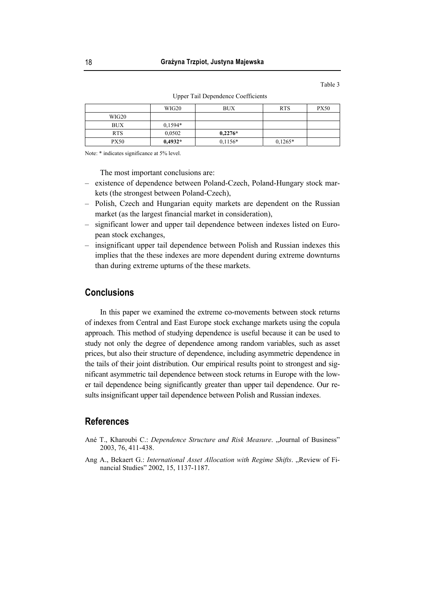Table 3

|            | WIG20     | <b>BUX</b> | <b>RTS</b> | <b>PX50</b> |  |  |  |  |  |
|------------|-----------|------------|------------|-------------|--|--|--|--|--|
| WIG20      |           |            |            |             |  |  |  |  |  |
| <b>BUX</b> | $0.1594*$ |            |            |             |  |  |  |  |  |

PX50 **0,4932\* 0**,1156\* **0**,1265\*

Upper Tail Dependence Coefficients

Note: \* indicates significance at 5% level.

The most important conclusions are:

RTS 0,0502 **0,2276\*** 

- ‒ existence of dependence between Poland-Czech, Poland-Hungary stock markets (the strongest between Poland-Czech),
- ‒ Polish, Czech and Hungarian equity markets are dependent on the Russian market (as the largest financial market in consideration),
- ‒ significant lower and upper tail dependence between indexes listed on European stock exchanges,
- ‒ insignificant upper tail dependence between Polish and Russian indexes this implies that the these indexes are more dependent during extreme downturns than during extreme upturns of the these markets.

# **Conclusions**

In this paper we examined the extreme co-movements between stock returns of indexes from Central and East Europe stock exchange markets using the copula approach. This method of studying dependence is useful because it can be used to study not only the degree of dependence among random variables, such as asset prices, but also their structure of dependence, including asymmetric dependence in the tails of their joint distribution. Our empirical results point to strongest and significant asymmetric tail dependence between stock returns in Europe with the lower tail dependence being significantly greater than upper tail dependence. Our results insignificant upper tail dependence between Polish and Russian indexes.

## **References**

- Ané T., Kharoubi C.: *Dependence Structure and Risk Measure*. "Journal of Business" 2003, 76, 411-438.
- Ang A., Bekaert G.: *International Asset Allocation with Regime Shifts*. "Review of Financial Studies" 2002, 15, 1137-1187.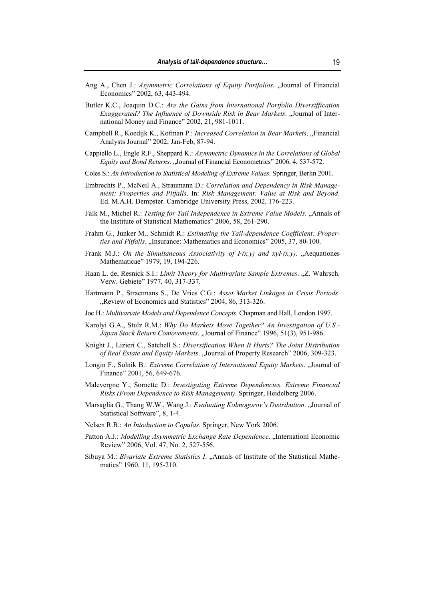- Ang A., Chen J.: *Asymmetric Correlations of Equity Portfolios*. "Journal of Financial Economics" 2002, 63, 443-494.
- Butler K.C., Joaquin D.C.: *Are the Gains from International Portfolio Diversiffication Exaggerated? The Influence of Downside Risk in Bear Markets*. "Journal of International Money and Finance" 2002, 21, 981-1011.
- Campbell R., Koedijk K., Kofman P.: *Increased Correlation in Bear Markets*. "Financial Analysts Journal" 2002, Jan-Feb, 87-94.
- Cappiello L., Engle R.F., Sheppard K.: *Asymmetric Dynamics in the Correlations of Global Equity and Bond Returns.* "Journal of Financial Econometrics" 2006, 4, 537-572.
- Coles S.: *An Introduction to Statistical Modeling of Extreme Values*. Springer, Berlin 2001.
- Embrechts P., McNeil A., Straumann D.: *Correlation and Dependency in Risk Management: Properties and Pitfalls*. In: *Risk Management: Value at Risk and Beyond*. Ed. M.A.H. Dempster. Cambridge University Press, 2002, 176-223.
- Falk M., Michel R.: *Testing for Tail Independence in Extreme Value Models.* "Annals of the Institute of Statistical Mathematics" 2006, 58, 261-290.
- Frahm G., Junker M., Schmidt R.: *Estimating the Tail-dependence Coefficient: Properties and Pitfalls.* "Insurance: Mathematics and Economics" 2005, 37, 80-100.
- Frank M.J.: *On the Simultaneous Associativity of*  $F(x,y)$  *and*  $xyF(x,y)$ *.* "Aequationes Mathematicae" 1979, 19, 194-226.
- Haan L. de, Resnick S.I.: *Limit Theory for Multivariate Sample Extremes.* "Z. Wahrsch. Verw. Gebiete" 1977, 40, 317-337.
- Hartmann P., Straetmans S., De Vries C.G.: *Asset Market Linkages in Crisis Periods*. "Review of Economics and Statistics" 2004, 86, 313-326.
- Joe H.: *Multivariate Models and Dependence Concepts*. Chapman and Hall, London 1997.
- Karolyi G.A., Stulz R.M.: *Why Do Markets Move Together? An Investigation of U.S.-* Japan Stock Return Comovements. "Journal of Finance" 1996, 51(3), 951-986.
- Knight J., Lizieri C., Satchell S.: *Diversification When It Hurts? The Joint Distribution of Real Estate and Equity Markets*. "Journal of Property Research" 2006, 309-323.
- Longin F., Solnik B.: *Extreme Correlation of International Equity Markets.* "Journal of Finance" 2001, 56, 649-676.
- Malevergne Y., Sornette D.: *Investigating Extreme Dependencies. Extreme Financial Risks (From Dependence to Risk Management)*. Springer, Heidelberg 2006.
- Marsaglia G., Thang W.W., Wang J.: *Evaluating Kolmogorov's Distribution*. "Journal of Statistical Software", 8, 1-4.
- Nelsen R.B.: *An Intoduction to Copulas*. Springer, New York 2006.
- Patton A.J.: *Modelling Asymmetric Exchange Rate Dependence*. "Internationl Economic Review" 2006, Vol. 47, No. 2, 527-556.
- Sibuya M.: *Bivariate Extreme Statistics I.* "Annals of Institute of the Statistical Mathematics" 1960, 11, 195-210.